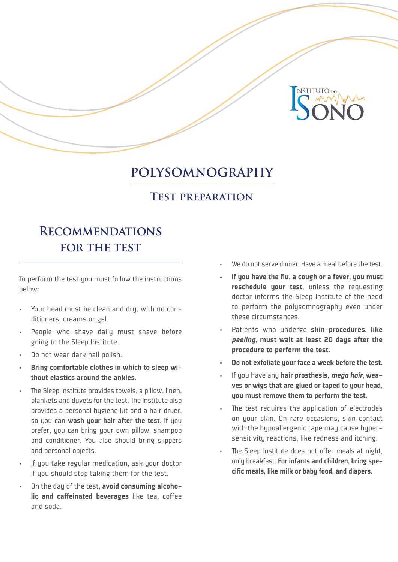

## **POLYSOMNOGRAPHY**

#### **Test preparation**

# **Recommendations for the test**

To perform the test you must follow the instructions below:

- Your head must be clean and dry, with no conditioners, creams or gel.
- People who shave daily must shave before going to the Sleep Institute.
- Do not wear dark nail polish.
- Bring comfortable clothes in which to sleep without elastics around the ankles.
- The Sleep Institute provides towels, a pillow, linen, blankets and duvets for the test. The Institute also provides a personal hygiene kit and a hair dryer, so you can wash your hair after the test. If you prefer, you can bring your own pillow, shampoo and conditioner. You also should bring slippers and personal objects.
- If you take regular medication, ask your doctor if you should stop taking them for the test.
- On the day of the test, avoid consuming alcoholic and caffeinated beverages like tea, coffee and soda.
- We do not serve dinner. Have a meal before the test.
- If you have the flu, a cough or a fever, you must reschedule your test, unless the requesting doctor informs the Sleep Institute of the need to perform the polysomnography even under these circumstances.
- Patients who undergo skin procedures, like *peeling*, must wait at least 20 days after the procedure to perform the test.
- Do not exfoliate your face a week before the test.
- If you have any hair prosthesis, *mega hair*, weaves or wigs that are glued or taped to your head, you must remove them to perform the test.
- The test requires the application of electrodes on your skin. On rare occasions, skin contact with the hypoallergenic tape may cause hypersensitivity reactions, like redness and itching.
- The Sleep Institute does not offer meals at night, only breakfast. For infants and children, bring specific meals, like milk or baby food, and diapers.